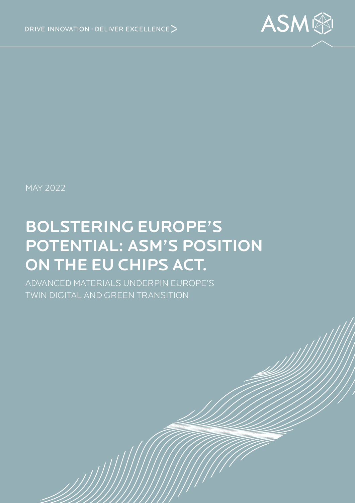

MAY 2022

# BOLSTERING EUROPE'S POTENTIAL: ASM'S POSITION ON THE EU CHIPS ACT.

ADVANCED MATERIALS UNDERPIN EUROPE'S TWIN DIGITAL AND GREEN TRANSITION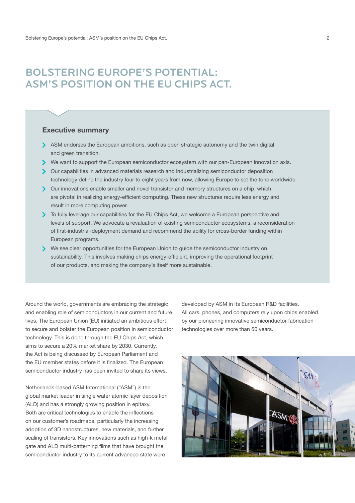## BOLSTERING EUROPE'S POTENTIAL: ASM'S POSITION ON THE EU CHIPS ACT.

#### Executive summary

- ASM endorses the European ambitions, such as open strategic autonomy and the twin digital and green transition.
- We want to support the European semiconductor ecosystem with our pan-European innovation axis.
- Our capabilities in advanced materials research and industrializing semiconductor deposition technology define the industry four to eight years from now, allowing Europe to set the tone worldwide.
- Our innovations enable smaller and novel transistor and memory structures on a chip, which are pivotal in realizing energy-efficient computing. These new structures require less energy and result in more computing power.
- $\triangleright$  To fully leverage our capabilities for the EU Chips Act, we welcome a European perspective and levels of support. We advocate a revaluation of existing semiconductor ecosystems, a reconsideration of first-industrial-deployment demand and recommend the ability for cross-border funding within European programs.
- We see clear opportunities for the European Union to guide the semiconductor industry on sustainability. This involves making chips energy-efficient, improving the operational footprint of our products, and making the company's itself more sustainable.

Around the world, governments are embracing the strategic and enabling role of semiconductors in our current and future lives. The European Union (EU) initiated an ambitious effort to secure and bolster the European position in semiconductor technology. This is done through the EU Chips Act, which aims to secure a 20% market share by 2030. Currently, the Act is being discussed by European Parliament and the EU member states before it is finalized. The European semiconductor industry has been invited to share its views.

Netherlands-based ASM International ("ASM") is the global market leader in single wafer atomic layer deposition (ALD) and has a strongly growing position in epitaxy. Both are critical technologies to enable the inflections on our customer's roadmaps, particularly the increasing adoption of 3D nanostructures, new materials, and further scaling of transistors. Key innovations such as high-k metal gate and ALD multi-patterning films that have brought the semiconductor industry to its current advanced state were

developed by ASM in its European R&D facilities. All cars, phones, and computers rely upon chips enabled by our pioneering innovative semiconductor fabrication technologies over more than 50 years.

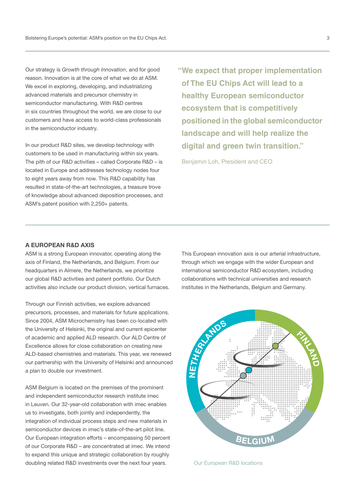Our strategy is *Growth through Innovation*, and for good reason. Innovation is at the core of what we do at ASM. We excel in exploring, developing, and industrializing advanced materials and precursor chemistry in semiconductor manufacturing. With R&D centres in six countries throughout the world, we are close to our customers and have access to world-class professionals in the semiconductor industry.

In our product R&D sites, we develop technology with customers to be used in manufacturing within six years. The pith of our R&D activities – called Corporate R&D – is located in Europe and addresses technology nodes four to eight years away from now. This R&D capability has resulted in state-of-the-art technologies, a treasure trove of knowledge about advanced deposition processes, and ASM's patent position with 2,250+ patents.

**"We expect that proper implementation of The EU Chips Act will lead to a healthy European semiconductor ecosystem that is competitively positioned in the global semiconductor landscape and will help realize the digital and green twin transition."**

Benjamin Loh, President and CEO

#### A EUROPEAN R&D AXIS

ASM is a strong European innovator, operating along the axis of Finland, the Netherlands, and Belgium. From our headquarters in Almere, the Netherlands, we prioritize our global R&D activities and patent portfolio. Our Dutch activities also include our product division, vertical furnaces.

Through our Finnish activities, we explore advanced precursors, processes, and materials for future applications. Since 2004, ASM Microchemistry has been co-located with the University of Helsinki, the original and current epicenter of academic and applied ALD research. Our ALD Centre of Excellence allows for close collaboration on creating new ALD-based chemistries and materials. This year, we renewed our partnership with the University of Helsinki and announced a plan to double our investment.

ASM Belgium is located on the premises of the prominent and independent semiconductor research institute imec in Leuven. Our 32-year-old collaboration with imec enables us to investigate, both jointly and independently, the integration of individual process steps and new materials in semiconductor devices in imec's state-of-the-art pilot line. Our European integration efforts – encompassing 50 percent of our Corporate R&D – are concentrated at imec. We intend to expand this unique and strategic collaboration by roughly doubling related R&D investments over the next four years.

This European innovation axis is our arterial infrastructure, through which we engage with the wider European and international semiconductor R&D ecosystem, including collaborations with technical universities and research institutes in the Netherlands, Belgium and Germany.



Our European R&D locations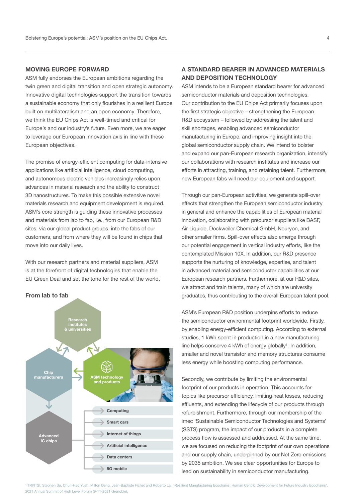#### MOVING EUROPE FORWARD

ASM fully endorses the European ambitions regarding the twin green and digital transition and open strategic autonomy. Innovative digital technologies support the transition towards a sustainable economy that only flourishes in a resilient Europe built on multilateralism and an open economy. Therefore, we think the EU Chips Act is well-timed and critical for Europe's and our industry's future. Even more, we are eager to leverage our European innovation axis in line with these European objectives.

The promise of energy-efficient computing for data-intensive applications like artificial intelligence, cloud computing, and autonomous electric vehicles increasingly relies upon advances in material research and the ability to construct 3D nanostructures. To make this possible extensive novel materials research and equipment development is required. ASM's core strength is guiding these innovative processes and materials from lab to fab, i.e., from our European R&D sites, via our global product groups, into the fabs of our customers, and from where they will be found in chips that move into our daily lives.

With our research partners and material suppliers, ASM is at the forefront of digital technologies that enable the EU Green Deal and set the tone for the rest of the world.





#### A STANDARD BEARER IN ADVANCED MATERIALS AND DEPOSITION TECHNOLOGY

ASM intends to be a European standard bearer for advanced semiconductor materials and deposition technologies. Our contribution to the EU Chips Act primarily focuses upon the first strategic objective – strengthening the European R&D ecosystem – followed by addressing the talent and skill shortages, enabling advanced semiconductor manufacturing in Europe, and improving insight into the global semiconductor supply chain. We intend to bolster and expand our pan-European research organization, intensify our collaborations with research institutes and increase our efforts in attracting, training, and retaining talent. Furthermore, new European fabs will need our equipment and support.

Through our pan-European activities, we generate spill-over effects that strengthen the European semiconductor industry in general and enhance the capabilities of European material innovation, collaborating with precursor suppliers like BASF, Air Liquide, Dockweiler Chemical GmbH, Nouryon, and other smaller firms. Spill-over effects also emerge through our potential engagement in vertical industry efforts, like the contemplated Mission 10X. In addition, our R&D presence supports the nurturing of knowledge, expertise, and talent in advanced material and semiconductor capabilities at our European research partners. Furthermore, at our R&D sites, we attract and train talents, many of which are university graduates, thus contributing to the overall European talent pool.

ASM's European R&D position underpins efforts to reduce the semiconductor environmental footprint worldwide. Firstly, by enabling energy-efficient computing. According to external studies, 1 kWh spent in production in a new manufacturing line helps conserve 4 kWh of energy globally<sup>1</sup>. In addition, smaller and novel transistor and memory structures consume less energy while boosting computing performance.

Secondly, we contribute by limiting the environmental footprint of our products in operation. This accounts for topics like precursor efficiency, limiting heat losses, reducing effluents, and extending the lifecycle of our products through refurbishment. Furthermore, through our membership of the imec 'Sustainable Semiconductor Technologies and Systems' (SSTS) program, the impact of our products in a complete process flow is assessed and addressed. At the same time, we are focused on reducing the footprint of our own operations and our supply chain, underpinned by our Net Zero emissions by 2035 ambition. We see clear opportunities for Europe to lead on sustainability in semiconductor manufacturing.

1 ITRI/ITSI, Stephen Su, Chun-Hao Yueh, Milton Deng, Jean-Baptiste Fichet and Roberto Lai, 'Resilient Manufacturing Ecochains: Human Centric Development for Future Industry Ecochains', 2021 Annual Summit of High Level Forum (9-11-2021 Grenoble).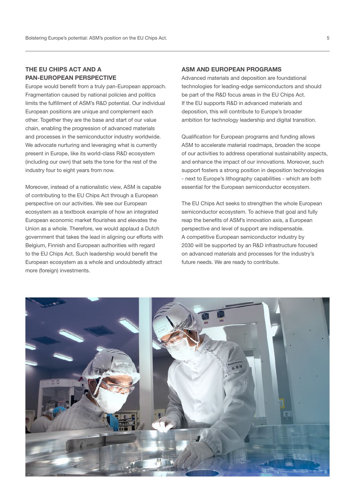#### THE EU CHIPS ACT AND A PAN-EUROPEAN PERSPECTIVE

Europe would benefit from a truly pan-European approach. Fragmentation caused by national policies and politics limits the fulfillment of ASM's R&D potential. Our individual European positions are unique and complement each other. Together they are the base and start of our value chain, enabling the progression of advanced materials and processes in the semiconductor industry worldwide. We advocate nurturing and leveraging what is currently present in Europe, like its world-class R&D ecosystem (including our own) that sets the tone for the rest of the industry four to eight years from now.

Moreover, instead of a nationalistic view, ASM is capable of contributing to the EU Chips Act through a European perspective on our activities. We see our European ecosystem as a textbook example of how an integrated European economic market flourishes and elevates the Union as a whole. Therefore, we would applaud a Dutch government that takes the lead in aligning our efforts with Belgium, Finnish and European authorities with regard to the EU Chips Act. Such leadership would benefit the European ecosystem as a whole and undoubtedly attract more (foreign) investments.

#### ASM AND EUROPEAN PROGRAMS

Advanced materials and deposition are foundational technologies for leading-edge semiconductors and should be part of the R&D focus areas in the EU Chips Act. If the EU supports R&D in advanced materials and deposition, this will contribute to Europe's broader ambition for technology leadership and digital transition.

Qualification for European programs and funding allows ASM to accelerate material roadmaps, broaden the scope of our activities to address operational sustainability aspects, and enhance the impact of our innovations. Moreover, such support fosters a strong position in deposition technologies - next to Europe's lithography capabilities - which are both essential for the European semiconductor ecosystem.

The EU Chips Act seeks to strengthen the whole European semiconductor ecosystem. To achieve that goal and fully reap the benefits of ASM's innovation axis, a European perspective and level of support are indispensable. A competitive European semiconductor industry by 2030 will be supported by an R&D infrastructure focused on advanced materials and processes for the industry's future needs. We are ready to contribute.